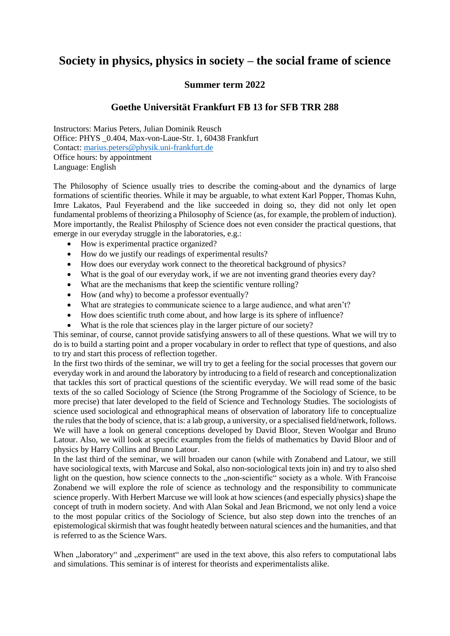# **Society in physics, physics in society – the social frame of science**

### **Summer term 2022**

### **Goethe Universität Frankfurt FB 13 for SFB TRR 288**

Instructors: Marius Peters, Julian Dominik Reusch Office: PHYS \_0.404, Max-von-Laue-Str. 1, 60438 Frankfurt Contact: [marius.peters@physik.uni-frankfurt.de](mailto:marius.peters@physik.uni-frankfurt.de) Office hours: by appointment Language: English

The Philosophy of Science usually tries to describe the coming-about and the dynamics of large formations of scientific theories. While it may be arguable, to what extent Karl Popper, Thomas Kuhn, Imre Lakatos, Paul Feyerabend and the like succeeded in doing so, they did not only let open fundamental problems of theorizing a Philosophy of Science (as, for example, the problem of induction). More importantly, the Realist Philosphy of Science does not even consider the practical questions, that emerge in our everyday struggle in the laboratories, e.g.:

- How is experimental practice organized?
- How do we justify our readings of experimental results?
- How does our everyday work connect to the theoretical background of physics?
- What is the goal of our everyday work, if we are not inventing grand theories every day?
- What are the mechanisms that keep the scientific venture rolling?
- How (and why) to become a professor eventually?
- What are strategies to communicate science to a large audience, and what aren't?
- How does scientific truth come about, and how large is its sphere of influence?
- What is the role that sciences play in the larger picture of our society?

This seminar, of course, cannot provide satisfying answers to all of these questions. What we will try to do is to build a starting point and a proper vocabulary in order to reflect that type of questions, and also to try and start this process of reflection together.

In the first two thirds of the seminar, we will try to get a feeling for the social processes that govern our everyday work in and around the laboratory by introducing to a field of research and conceptionalization that tackles this sort of practical questions of the scientific everyday. We will read some of the basic texts of the so called Sociology of Science (the Strong Programme of the Sociology of Science, to be more precise) that later developed to the field of Science and Technology Studies. The sociologists of science used sociological and ethnographical means of observation of laboratory life to conceptualize the rulesthat the body of science, that is: a lab group, a university, or a specialised field/network, follows. We will have a look on general conceptions developed by David Bloor, Steven Woolgar and Bruno Latour. Also, we will look at specific examples from the fields of mathematics by David Bloor and of physics by Harry Collins and Bruno Latour.

In the last third of the seminar, we will broaden our canon (while with Zonabend and Latour, we still have sociological texts, with Marcuse and Sokal, also non-sociological texts join in) and try to also shed light on the question, how science connects to the "non-scientific" society as a whole. With Francoise Zonabend we will explore the role of science as technology and the responsibility to communicate science properly. With Herbert Marcuse we will look at how sciences (and especially physics) shape the concept of truth in modern society. And with Alan Sokal and Jean Bricmond, we not only lend a voice to the most popular critics of the Sociology of Science, but also step down into the trenches of an epistemological skirmish that was fought heatedly between natural sciences and the humanities, and that is referred to as the Science Wars.

When "laboratory" and "experiment" are used in the text above, this also refers to computational labs and simulations. This seminar is of interest for theorists and experimentalists alike.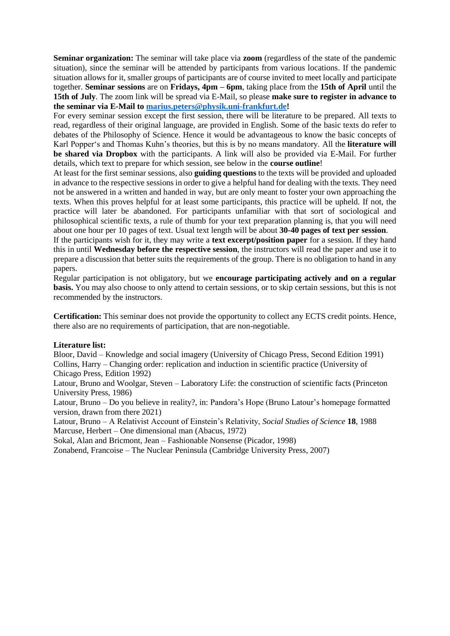**Seminar organization:** The seminar will take place via **zoom** (regardless of the state of the pandemic situation), since the seminar will be attended by participants from various locations. If the pandemic situation allows for it, smaller groups of participants are of course invited to meet locally and participate together. **Seminar sessions** are on **Fridays, 4pm – 6pm**, taking place from the **15th of April** until the **15th of July**. The zoom link will be spread via E-Mail, so please **make sure to register in advance to the seminar via E-Mail to [marius.peters@physik.uni-frankfurt.de!](mailto:marius.peters@physik.uni-frankfurt.de)**

For every seminar session except the first session, there will be literature to be prepared. All texts to read, regardless of their original language, are provided in English. Some of the basic texts do refer to debates of the Philosophy of Science. Hence it would be advantageous to know the basic concepts of Karl Popper's and Thomas Kuhn's theories, but this is by no means mandatory. All the **literature will be shared via Dropbox** with the participants. A link will also be provided via E-Mail. For further details, which text to prepare for which session, see below in the **course outline**!

At least for the first seminar sessions, also **guiding questions** to the texts will be provided and uploaded in advance to the respective sessions in order to give a helpful hand for dealing with the texts. They need not be answered in a written and handed in way, but are only meant to foster your own approaching the texts. When this proves helpful for at least some participants, this practice will be upheld. If not, the practice will later be abandoned. For participants unfamiliar with that sort of sociological and philosophical scientific texts, a rule of thumb for your text preparation planning is, that you will need about one hour per 10 pages of text. Usual text length will be about **30-40 pages of text per session**.

If the participants wish for it, they may write a **text excerpt/position paper** for a session. If they hand this in until **Wednesday before the respective session**, the instructors will read the paper and use it to prepare a discussion that better suits the requirements of the group. There is no obligation to hand in any papers.

Regular participation is not obligatory, but we **encourage participating actively and on a regular basis.** You may also choose to only attend to certain sessions, or to skip certain sessions, but this is not recommended by the instructors.

**Certification:** This seminar does not provide the opportunity to collect any ECTS credit points. Hence, there also are no requirements of participation, that are non-negotiable.

#### **Literature list:**

Bloor, David – Knowledge and social imagery (University of Chicago Press, Second Edition 1991) Collins, Harry – Changing order: replication and induction in scientific practice (University of Chicago Press, Edition 1992)

Latour, Bruno and Woolgar, Steven – Laboratory Life: the construction of scientific facts (Princeton University Press, 1986)

Latour, Bruno – Do you believe in reality?, in: Pandora's Hope (Bruno Latour's homepage formatted version, drawn from there 2021)

Latour, Bruno – A Relativist Account of Einstein's Relativity, *Social Studies of Science* **18**, 1988 Marcuse, Herbert – One dimensional man (Abacus, 1972)

Sokal, Alan and Bricmont, Jean – Fashionable Nonsense (Picador, 1998)

Zonabend, Francoise – The Nuclear Peninsula (Cambridge University Press, 2007)